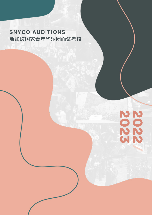# **SNYCO AUDITIONS 新加坡国家青年华乐团面试考核**

# **NONDON**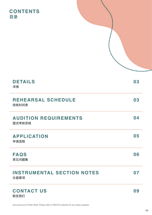# **CONTENTS 目录**

| <b>DETAILS</b><br>详情                      | 03 |
|-------------------------------------------|----|
| <b>REHEARSAL SCHEDULE</b><br>排练时间表        | 03 |
| <b>AUDITION REQUIREMENTS</b><br>面试考核资格    | 04 |
| <b>APPLICATION</b><br>申请流程                | 05 |
| <b>FAQS</b><br>常见问题集                      | 06 |
| <b>INSTRUMENTAL SECTION NOTES</b><br>乐器事项 | 07 |
| <b>CONTACT US</b><br>联系我们                 | 09 |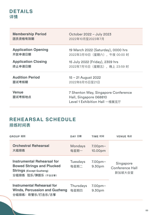# <span id="page-2-0"></span>**DETAILS 详情**

| <b>Membership Period</b>   | October 2022 - July 2023                                                                       |
|----------------------------|------------------------------------------------------------------------------------------------|
| 团员资格有效期                    | 2022年10月至2023年7月                                                                               |
| <b>Application Opening</b> | 19 March 2022 (Saturday), 0000 hrs                                                             |
| 开放申请日期                     | 2022年3月19日(星期六), 午夜 00:00 时                                                                    |
| <b>Application Closing</b> | 15 July 2022 (Friday), 2359 hrs                                                                |
| 终止申请日期                     | 2022年7月15日 (星期五), 晚上 23:59 时                                                                   |
| <b>Audition Period</b>     | 15 – 21 August 2022                                                                            |
| 面试考核期                      | 2022年8月15日至21日                                                                                 |
| <b>Venue</b><br>面试考核地点     | 7 Shenton Way, Singapore Conference<br>Hall, Singapore 068810<br>Level 1 Exhibition Hall 一楼展览厅 |

# **REHEARSAL SCHEDULE 排练时间表**

| GROUP 组别                                                                                                                       | DAY 日期                   | TIME 时间                       | VENUE 地点                                      |
|--------------------------------------------------------------------------------------------------------------------------------|--------------------------|-------------------------------|-----------------------------------------------|
| <b>Orchestral Rehearsal</b><br>大组排练                                                                                            | <b>Mondays</b><br>每星期一   | 7.00 <sub>pm</sub><br>10.00pm |                                               |
| <b>Instrumental Rehearsal for</b><br><b>Bowed Strings and Plucked</b><br><b>Strings (Except Guzheng)</b><br>分组排练 弦乐/弹拨乐 (不含古筝) | <b>Tuesdays</b><br>每星期二  | 7.00 <sub>pm</sub><br>9.30pm  | Singapore<br><b>Conference Hall</b><br>新加坡大会堂 |
| <b>Instrumental Rehearsal for</b><br><b>Winds, Percussion and Guzheng</b><br>分组排练: 吹管乐/打击乐/古筝                                  | <b>Thursdays</b><br>每星期四 | 7.00 <sub>pm</sub><br>9.30pm  |                                               |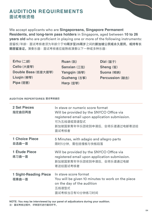# <span id="page-3-0"></span>**AUDITION REQUIREMENTS 面试考核资格**

We accept applicants who are **Singaporeans, Singapore Permanent Residents, and long-term pass holders** in Singapore, aged between **10 to 26 years old** who are proficient in playing one or more of the following instruments: 居留权/年龄:面试考核者须为年龄介于**10周岁至26周岁**之间的**新加坡公民或永久居民,或持有长 期居留准证。**演奏乐器:面试考核者应能熟练演奏以下一种或多种乐器:

| $Erhu$ (二胡)         | Ruan $($ 阮)         | Dizi (笛子)         |
|---------------------|---------------------|-------------------|
| Cello (大提琴)         | <b>Sanxian (三弦)</b> | <b>Sheng (笙)</b>  |
| Double Bass (低音大提琴) | Yangqin (扬琴)        | <b>Suona (唢呐)</b> |
| Liuqin (柳琴)         | Guzheng (古筝)        | <b>Percussion</b> |
| Pipa (琵琶)           | Harp (竖琴)           |                   |
|                     |                     |                   |

### **AUDITION REPERTOIRES 面试考核曲目**

| <b>2 Set Pieces</b><br>指定曲目两首         | In stave or numeric score format<br>Will be provided by the SNYCO Office via<br>registered email upon application submission.<br>可为五线谱或简谱型式<br>新加坡国家青年华乐团收到申请后,会将乐谱通过电邮寄送给<br>面试考核者 |
|---------------------------------------|-------------------------------------------------------------------------------------------------------------------------------------------------------------------------------------|
| <b>1 Choice Piece</b><br>自选曲一首        | 5 Minutes, with adagio and allegro parts<br>限时5分钟,需包括慢板与快板段落                                                                                                                        |
| 1 Étude Piece<br>练习曲一首                | Will be provided by the SNYCO Office via<br>registered email upon application submission.<br>新加坡国家青年华乐团收到申请后,会将乐谱通过电邮<br>寄送给面试考核者                                                   |
| <b>1 Sight-Reading Piece</b><br>视奏曲一首 | In stave score format<br>You will be given 10 minutes to work on the piece<br>on the day of the audition<br>五线谱型式<br>面试考核当日有10分钟练习时间                                                |

**NOTE: You may be interviewed by our panel of adjudicators during your audition. 注:面试考核过程中,评审团可进行提问环节。**

**Percussion (敲击)**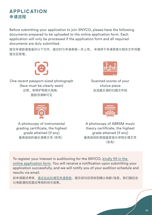## <span id="page-4-0"></span>**APPLICATION 申请流程**

Before submitting your application to join SNYCO, please have the following documents prepared to be uploaded to the online application form. Each application will only be processed if the application form and all required documents are duly submitted.

提交申请前请准备好以下文件,提交时与申请表格一并上传。 申请将于申请表格与相关文件完整 提交后受理。



One recent passport-sized photograph (face must be clearly seen) 近照。参照护照照片规格, 面部须清晰可见



Scanned scores of your choice piece 自选曲乐谱的扫描文件档



A photocopy of instrumental grading certificate, the highest grade attained (if any) 最高级别的器乐演奏文凭 (若有)



A photocopy of ABRSM music theory certificate, the highest grade attained (if any) 最高级别的英国皇家音乐学院乐理文凭 (若有)

To register your interest in auditioning for the SNYCO, [kindly fill in the](https://forms.gle/LyshwRzXDjQ58qtQ7)  [online application form.](https://forms.gle/LyshwRzXDjQ58qtQ7) You will receive a notification upon submitting your application successfully, and we will notify you of your audition schedule and results via email.

欲申请面试考核[,请点击此处填写申请表格。提](https://forms.gle/LyshwRzXDjQ58qtQ7)交成功后将收到确认电邮/信息。我们随后会 以电邮通知您面试考核时间与结果。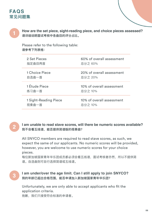# <span id="page-5-0"></span>**FAQS 常见问题集**



**How are the set piece, sight-reading piece, and choice pieces assessed? 请详细说明面试考核中各曲目的评分占比。**

Please refer to the following table: **请参考下列表格:**

| 2 Set Pieces          | 60% of overall assessment |
|-----------------------|---------------------------|
| 指定曲目两首                | 总分之 60%                   |
| 1 Choice Piece        | 20% of overall assessment |
| 自选曲一首                 | 总分之 20%                   |
| 1 Étude Piece         | 10% of overall assessment |
| 练习曲一首                 | 总分之 10%                   |
| 1 Sight-Reading Piece | 10% of overall assessment |
| 视奏曲一首                 | 总分之 10%                   |



**I am unable to read stave scores, will there be numeric scores available? 我不会看五线谱,能否提供简谱版的视奏曲?**

All SNYCO members are required to read stave scores, as such, we expect the same of our applicants. No numeric scores will be provided, however, you are welcome to use numeric scores for your choice pieces.

每位新加坡国家青年华乐团成员都必须会看五线谱,面试考核者亦然,所以不提供简 谱。自选曲则可自行选择简谱或五线谱。



**I am under/over the age limit. Can I still apply to join SNYCO? 我的年龄已超出合格范围,能否申请加入新加坡国家青年华乐团?**

Unfortunately, we are only able to accept applicants who fit the application criteria.

抱歉,我们只接受符合标准的申请者。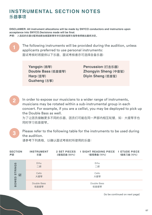# <span id="page-6-0"></span>**INSTRUMENTAL SECTION NOTES 乐器事项**

**DISCLAIMER: All instrument allocations will be made by SNYCO conductors and instructors upon acceptance into SNYCO.Decisions made will be final. 声明: 入选后的乐器分配将由新加坡国家青年华乐团的指挥与指导老师做出最终决定。**



**2**

**3**

The following instruments will be provided during the audition, unless applicants preferred to use personal instruments: 面试考核时将提供以下乐器,面试考核者亦可选择自备乐器:

**Yangqin (扬琴) Double Bass (低音提琴) Harp (竖琴) Guzheng (古筝)**

**Percussion (打击乐器) Zhongyin Sheng (中音笙) Diyin Sheng (低音笙)**

In order to expose our musicians to a wider range of instruments, musicians may be rotated within a sub-instrumental group in each concert. For example, if you are a cellist, you may be deployed to pick up the Double Bass as well.

为了让团员接触更多不同的乐器,团员们可能在同一声部内相互轮替,如:大提琴手也 同时学习低音提琴。

Please refer to the following table for the instruments to be used during the audition.

请参考下列表格,以确认面试考核时所使用的乐器:

| <b>SECTION</b><br>声部 | <b>INSTRUMENT</b><br>乐器 | <b>2 SET PIECES</b><br>2首指定曲 (60%) | <b>1 SIGHT READING PIECE 1 ETUDE PIECE</b><br>1首视奏曲 (10%) | 1首练习曲 (10%) |
|----------------------|-------------------------|------------------------------------|-----------------------------------------------------------|-------------|
| STRINGS              | Erhu<br>二胡              |                                    | Erhu<br>二胡                                                |             |
| 拉                    | Cello<br>大提琴            |                                    | Cello<br>大提琴                                              |             |
| <b>BOWED</b>         | Double Bass<br>低音提琴     |                                    | Double Bass<br>低音提琴                                       |             |

(to be continued on next page)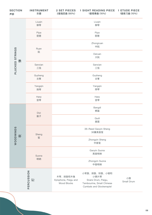| <b>SECTION</b><br>声部        | <b>INSTRUMENT</b><br>乐器 | <b>2 SET PIECES</b><br><b>1 SIGHT READING PIECE</b><br><b>1 ETUDE PIECE</b><br>1首视奏曲 (10%)<br>1首练习曲 (10%)<br>2首指定曲 (60%)                                                    |  |
|-----------------------------|-------------------------|-----------------------------------------------------------------------------------------------------------------------------------------------------------------------------|--|
| <b>PLUCKED STRINGS</b><br>無 | Liuqin<br>柳琴            | Liuqin<br>柳琴                                                                                                                                                                |  |
|                             | Pipa<br>琵琶              | Pipa<br>琵琶                                                                                                                                                                  |  |
|                             | Ruan<br>阮               | Zhongruan<br>中阮                                                                                                                                                             |  |
|                             |                         | Daruan<br>大阮                                                                                                                                                                |  |
|                             | Sanxian<br>三弦           | Sanxian<br>三弦                                                                                                                                                               |  |
|                             | Guzheng<br>古筝           | Guzheng<br>古筝                                                                                                                                                               |  |
|                             | Yangqin<br>扬琴           | Yangqin<br>扬琴                                                                                                                                                               |  |
|                             | Harp<br>竖琴              | Harp<br>竖琴                                                                                                                                                                  |  |
| WOODWINDS<br>叹              | Dizi<br>笛子              | Bangdi<br>梆笛                                                                                                                                                                |  |
|                             |                         | Qudi<br>曲笛                                                                                                                                                                  |  |
|                             | Sheng                   | 36-Reed Gaoyin Sheng<br>36簧高音笙                                                                                                                                              |  |
|                             | 笙                       | Zhongyin Sheng<br>中音笙                                                                                                                                                       |  |
|                             | Suona                   | Gaoyin Suona<br>高音唢呐                                                                                                                                                        |  |
|                             | 唢呐                      | Zhongyin Suona<br>中音唢呐                                                                                                                                                      |  |
|                             | PERCUSSION<br>ĽŦ        | 小军鼓、排鼓、铃鼓、小钹和<br>小钢片琴<br>木琴、排鼓和木鱼<br>小鼓<br>Xylophone, Paigu and<br>Snare Drum, Paigu,<br>Small Drum<br>Wood Blocks<br>Tambourine, Small Chinese<br>Cymbals and Glockenspiel |  |